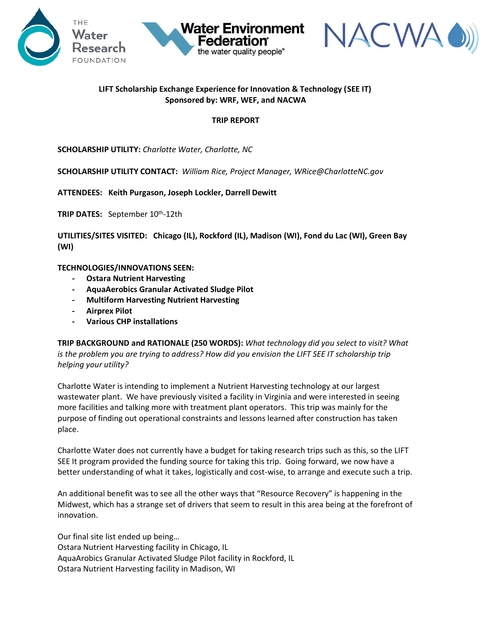



## **LIFT Scholarship Exchange Experience for Innovation & Technology (SEE IT) Sponsored by: WRF, WEF, and NACWA**

**Water Environment** 

the water quality people®

#### **TRIP REPORT**

**SCHOLARSHIP UTILITY:** *Charlotte Water, Charlotte, NC*

**SCHOLARSHIP UTILITY CONTACT:** *William Rice, Project Manager, WRice@CharlotteNC.gov*

**ATTENDEES: Keith Purgason, Joseph Lockler, Darrell Dewitt**

**TRIP DATES:** September 10th -12th

**UTILITIES/SITES VISITED: Chicago (IL), Rockford (IL), Madison (WI), Fond du Lac (WI), Green Bay (WI)**

**TECHNOLOGIES/INNOVATIONS SEEN:** 

- **- Ostara Nutrient Harvesting**
- **- AquaAerobics Granular Activated Sludge Pilot**
- **- Multiform Harvesting Nutrient Harvesting**
- **- Airprex Pilot**
- **- Various CHP installations**

**TRIP BACKGROUND and RATIONALE (250 WORDS):** *What technology did you select to visit? What is the problem you are trying to address? How did you envision the LIFT SEE IT scholarship trip helping your utility?* 

Charlotte Water is intending to implement a Nutrient Harvesting technology at our largest wastewater plant. We have previously visited a facility in Virginia and were interested in seeing more facilities and talking more with treatment plant operators. This trip was mainly for the purpose of finding out operational constraints and lessons learned after construction has taken place.

Charlotte Water does not currently have a budget for taking research trips such as this, so the LIFT SEE It program provided the funding source for taking this trip. Going forward, we now have a better understanding of what it takes, logistically and cost-wise, to arrange and execute such a trip.

An additional benefit was to see all the other ways that "Resource Recovery" is happening in the Midwest, which has a strange set of drivers that seem to result in this area being at the forefront of innovation.

Our final site list ended up being… Ostara Nutrient Harvesting facility in Chicago, IL AquaArobics Granular Activated Sludge Pilot facility in Rockford, IL Ostara Nutrient Harvesting facility in Madison, WI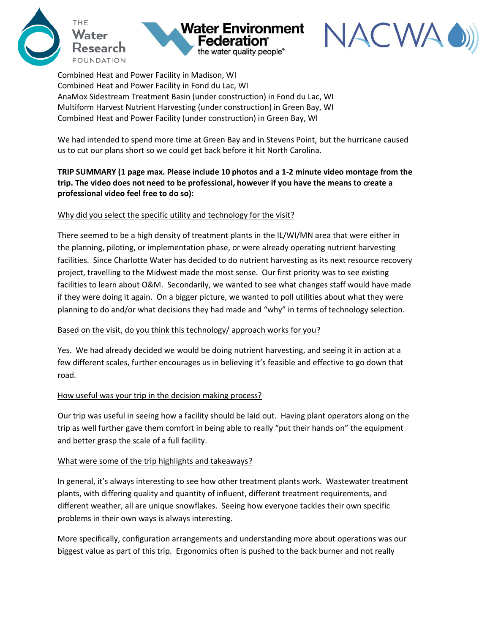





Combined Heat and Power Facility in Madison, WI Combined Heat and Power Facility in Fond du Lac, WI AnaMox Sidestream Treatment Basin (under construction) in Fond du Lac, WI Multiform Harvest Nutrient Harvesting (under construction) in Green Bay, WI Combined Heat and Power Facility (under construction) in Green Bay, WI

We had intended to spend more time at Green Bay and in Stevens Point, but the hurricane caused us to cut our plans short so we could get back before it hit North Carolina.

# **TRIP SUMMARY (1 page max. Please include 10 photos and a 1-2 minute video montage from the trip. The video does not need to be professional, however if you have the means to create a professional video feel free to do so):**

### Why did you select the specific utility and technology for the visit?

There seemed to be a high density of treatment plants in the IL/WI/MN area that were either in the planning, piloting, or implementation phase, or were already operating nutrient harvesting facilities. Since Charlotte Water has decided to do nutrient harvesting as its next resource recovery project, travelling to the Midwest made the most sense. Our first priority was to see existing facilities to learn about O&M. Secondarily, we wanted to see what changes staff would have made if they were doing it again. On a bigger picture, we wanted to poll utilities about what they were planning to do and/or what decisions they had made and "why" in terms of technology selection.

### Based on the visit, do you think this technology/ approach works for you?

Yes. We had already decided we would be doing nutrient harvesting, and seeing it in action at a few different scales, further encourages us in believing it's feasible and effective to go down that road.

### How useful was your trip in the decision making process?

Our trip was useful in seeing how a facility should be laid out. Having plant operators along on the trip as well further gave them comfort in being able to really "put their hands on" the equipment and better grasp the scale of a full facility.

### What were some of the trip highlights and takeaways?

In general, it's always interesting to see how other treatment plants work. Wastewater treatment plants, with differing quality and quantity of influent, different treatment requirements, and different weather, all are unique snowflakes. Seeing how everyone tackles their own specific problems in their own ways is always interesting.

More specifically, configuration arrangements and understanding more about operations was our biggest value as part of this trip. Ergonomics often is pushed to the back burner and not really